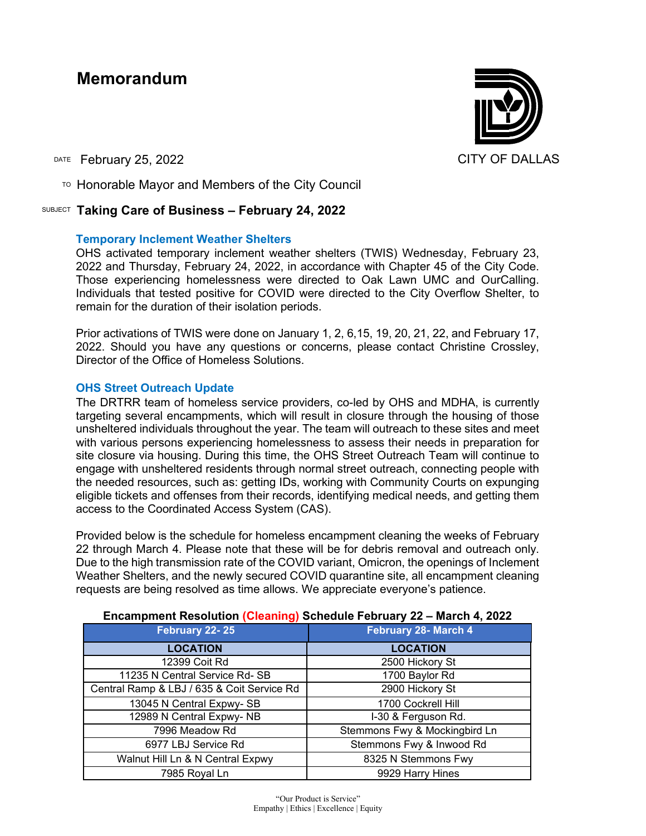# **Memorandum**

DATE February 25, 2022 CITY OF DALLAS

 $\overline{P}$  Honorable Mayor and Members of the City Council

# SUBJECT **Taking Care of Business – February 24, 2022**

# **Temporary Inclement Weather Shelters**

OHS activated temporary inclement weather shelters (TWIS) Wednesday, February 23, 2022 and Thursday, February 24, 2022, in accordance with Chapter 45 of the City Code. Those experiencing homelessness were directed to Oak Lawn UMC and OurCalling. Individuals that tested positive for COVID were directed to the City Overflow Shelter, to remain for the duration of their isolation periods.

Prior activations of TWIS were done on January 1, 2, 6,15, 19, 20, 21, 22, and February 17, 2022. Should you have any questions or concerns, please contact Christine Crossley, Director of the Office of Homeless Solutions.

# **OHS Street Outreach Update**

The DRTRR team of homeless service providers, co-led by OHS and MDHA, is currently targeting several encampments, which will result in closure through the housing of those unsheltered individuals throughout the year. The team will outreach to these sites and meet with various persons experiencing homelessness to assess their needs in preparation for site closure via housing. During this time, the OHS Street Outreach Team will continue to engage with unsheltered residents through normal street outreach, connecting people with the needed resources, such as: getting IDs, working with Community Courts on expunging eligible tickets and offenses from their records, identifying medical needs, and getting them access to the Coordinated Access System (CAS).

Provided below is the schedule for homeless encampment cleaning the weeks of February 22 through March 4. Please note that these will be for debris removal and outreach only. Due to the high transmission rate of the COVID variant, Omicron, the openings of Inclement Weather Shelters, and the newly secured COVID quarantine site, all encampment cleaning requests are being resolved as time allows. We appreciate everyone's patience.

| February 22-25                             | February 28- March 4          |
|--------------------------------------------|-------------------------------|
| <b>LOCATION</b>                            | <b>LOCATION</b>               |
| 12399 Coit Rd                              | 2500 Hickory St               |
| 11235 N Central Service Rd-SB              | 1700 Baylor Rd                |
| Central Ramp & LBJ / 635 & Coit Service Rd | 2900 Hickory St               |
| 13045 N Central Expwy-SB                   | 1700 Cockrell Hill            |
| 12989 N Central Expwy-NB                   | I-30 & Ferguson Rd.           |
| 7996 Meadow Rd                             | Stemmons Fwy & Mockingbird Ln |
| 6977 LBJ Service Rd                        | Stemmons Fwy & Inwood Rd      |
| Walnut Hill Ln & N Central Expwy           | 8325 N Stemmons Fwy           |
| 7985 Royal Ln                              | 9929 Harry Hines              |

#### **Encampment Resolution (Cleaning) Schedule February 22 – March 4, 2022**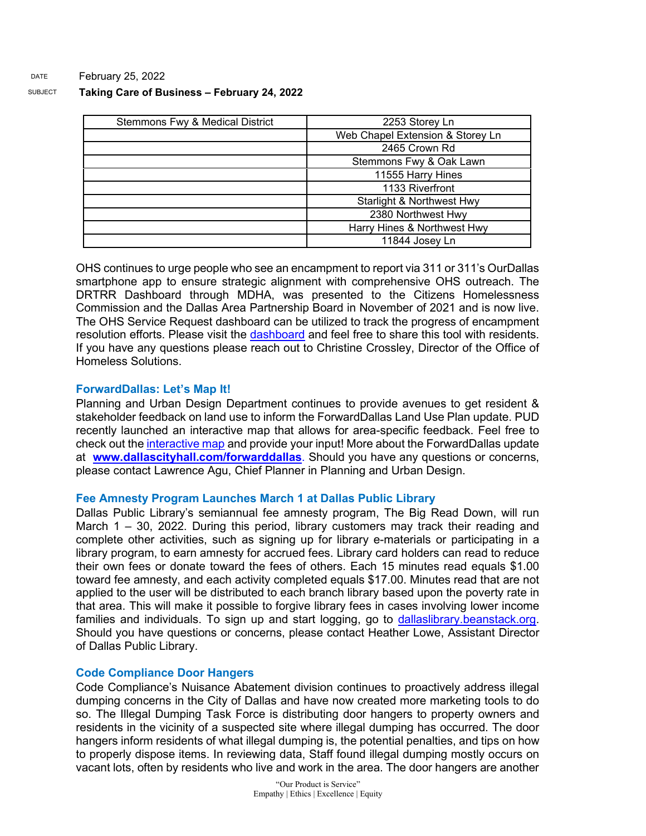#### SUBJECT **Taking Care of Business – February 24, 2022**

| <b>Stemmons Fwy &amp; Medical District</b> | 2253 Storey Ln                   |
|--------------------------------------------|----------------------------------|
|                                            | Web Chapel Extension & Storey Ln |
|                                            | 2465 Crown Rd                    |
|                                            | Stemmons Fwy & Oak Lawn          |
|                                            | 11555 Harry Hines                |
|                                            | 1133 Riverfront                  |
|                                            | Starlight & Northwest Hwy        |
|                                            | 2380 Northwest Hwy               |
|                                            | Harry Hines & Northwest Hwy      |
|                                            | 11844 Josey Ln                   |

OHS continues to urge people who see an encampment to report via 311 or 311's OurDallas smartphone app to ensure strategic alignment with comprehensive OHS outreach. The DRTRR Dashboard through MDHA, was presented to the Citizens Homelessness Commission and the Dallas Area Partnership Board in November of 2021 and is now live. The OHS Service Request dashboard can be utilized to track the progress of encampment resolution efforts. Please visit the [dashboard](https://gcc02.safelinks.protection.outlook.com/?url=https%3A%2F%2Fdallasgis.maps.arcgis.com%2Fapps%2Fopsdashboard%2Findex.html%23%2Fccd41f0d795f407a94ae17e2c27bf073&data=04%7C01%7Ctatjana.williams%40dallascityhall.com%7C4b9c8d4befd14de6acde08d9f64fbbe7%7C2935709ec10c4809a302852d369f8700%7C0%7C0%7C637811644694247873%7CUnknown%7CTWFpbGZsb3d8eyJWIjoiMC4wLjAwMDAiLCJQIjoiV2luMzIiLCJBTiI6Ik1haWwiLCJXVCI6Mn0%3D%7C3000&sdata=MvqFY504pDKM%2F8fqKJuGZqIGZ4Si4RyYp1zrp1JTERo%3D&reserved=0) and feel free to share this tool with residents. If you have any questions please reach out to Christine Crossley, Director of the Office of Homeless Solutions.

# **ForwardDallas: Let's Map It!**

Planning and Urban Design Department continues to provide avenues to get resident & stakeholder feedback on land use to inform the ForwardDallas Land Use Plan update. PUD recently launched an interactive map that allows for area-specific feedback. Feel free to check out the [interactive map](https://gcc02.safelinks.protection.outlook.com/?url=https%3A%2F%2Fdallascityhall.mysocialpinpoint.com%2Fmapping%23%2F&data=04%7C01%7Ctatjana.williams%40dallascityhall.com%7C55f4d62e6bb349fdddc408d9f6dadeca%7C2935709ec10c4809a302852d369f8700%7C0%7C0%7C637812242160505596%7CUnknown%7CTWFpbGZsb3d8eyJWIjoiMC4wLjAwMDAiLCJQIjoiV2luMzIiLCJBTiI6Ik1haWwiLCJXVCI6Mn0%3D%7C3000&sdata=RJwIVi3V32LDrtQsJmwBYbxPAOSieTJt%2FZKVyP9DaVc%3D&reserved=0) and provide your input! More about the ForwardDallas update at **[www.dallascityhall.com/forwarddallas](https://gcc02.safelinks.protection.outlook.com/?url=http%3A%2F%2Fwww.dallascityhall.com%2Fforwarddallas&data=04%7C01%7Ctatjana.williams%40dallascityhall.com%7C55f4d62e6bb349fdddc408d9f6dadeca%7C2935709ec10c4809a302852d369f8700%7C0%7C0%7C637812242160505596%7CUnknown%7CTWFpbGZsb3d8eyJWIjoiMC4wLjAwMDAiLCJQIjoiV2luMzIiLCJBTiI6Ik1haWwiLCJXVCI6Mn0%3D%7C3000&sdata=kMhEODdqk9URf0wFOeCF3ERWQua6WdGGhdAGtTD6Ges%3D&reserved=0)**. Should you have any questions or concerns, please contact Lawrence Agu, Chief Planner in Planning and Urban Design.

#### **Fee Amnesty Program Launches March 1 at Dallas Public Library**

Dallas Public Library's semiannual fee amnesty program, The Big Read Down, will run March 1 – 30, 2022. During this period, library customers may track their reading and complete other activities, such as signing up for library e-materials or participating in a library program, to earn amnesty for accrued fees. Library card holders can read to reduce their own fees or donate toward the fees of others. Each 15 minutes read equals \$1.00 toward fee amnesty, and each activity completed equals \$17.00. Minutes read that are not applied to the user will be distributed to each branch library based upon the poverty rate in that area. This will make it possible to forgive library fees in cases involving lower income families and individuals. To sign up and start logging, go to [dallaslibrary.beanstack.org.](https://gcc02.safelinks.protection.outlook.com/?url=https%3A%2F%2Fdallaslibrary.beanstack.org%2Freader365&data=04%7C01%7Ctatjana.williams%40dallascityhall.com%7C759f1ac68a084a27729308d9f636c129%7C2935709ec10c4809a302852d369f8700%7C0%7C0%7C637811538051617919%7CUnknown%7CTWFpbGZsb3d8eyJWIjoiMC4wLjAwMDAiLCJQIjoiV2luMzIiLCJBTiI6Ik1haWwiLCJXVCI6Mn0%3D%7C3000&sdata=Isp%2Fj6823edZu6je2s%2B8ojtco2cArG%2BTP0ksvpAUdOQ%3D&reserved=0) Should you have questions or concerns, please contact Heather Lowe, Assistant Director of Dallas Public Library.

#### **Code Compliance Door Hangers**

Code Compliance's Nuisance Abatement division continues to proactively address illegal dumping concerns in the City of Dallas and have now created more marketing tools to do so. The Illegal Dumping Task Force is distributing door hangers to property owners and residents in the vicinity of a suspected site where illegal dumping has occurred. The door hangers inform residents of what illegal dumping is, the potential penalties, and tips on how to properly dispose items. In reviewing data, Staff found illegal dumping mostly occurs on vacant lots, often by residents who live and work in the area. The door hangers are another